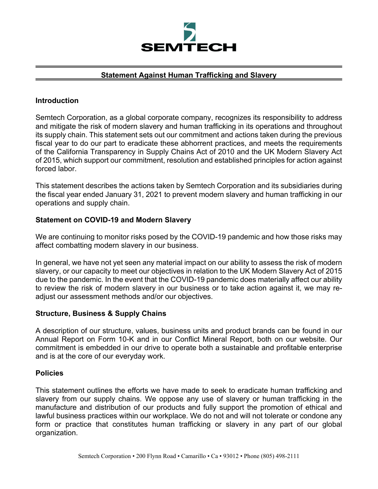

## **Statement Against Human Trafficking and Slavery**

### **Introduction**

Semtech Corporation, as a global corporate company, recognizes its responsibility to address and mitigate the risk of modern slavery and human trafficking in its operations and throughout its supply chain. This statement sets out our commitment and actions taken during the previous fiscal year to do our part to eradicate these abhorrent practices, and meets the requirements of the California Transparency in Supply Chains Act of 2010 and the UK Modern Slavery Act of 2015, which support our commitment, resolution and established principles for action against forced labor.

This statement describes the actions taken by Semtech Corporation and its subsidiaries during the fiscal year ended January 31, 2021 to prevent modern slavery and human trafficking in our operations and supply chain.

#### **Statement on COVID-19 and Modern Slavery**

We are continuing to monitor risks posed by the COVID-19 pandemic and how those risks may affect combatting modern slavery in our business.

In general, we have not yet seen any material impact on our ability to assess the risk of modern slavery, or our capacity to meet our objectives in relation to the UK Modern Slavery Act of 2015 due to the pandemic. In the event that the COVID-19 pandemic does materially affect our ability to review the risk of modern slavery in our business or to take action against it, we may readjust our assessment methods and/or our objectives.

#### **Structure, Business & Supply Chains**

A description of our structure, values, business units and product brands can be found in our Annual Report on Form 10-K and in our Conflict Mineral Report, both on our website. Our commitment is embedded in our drive to operate both a sustainable and profitable enterprise and is at the core of our everyday work.

#### **Policies**

This statement outlines the efforts we have made to seek to eradicate human trafficking and slavery from our supply chains. We oppose any use of slavery or human trafficking in the manufacture and distribution of our products and fully support the promotion of ethical and lawful business practices within our workplace. We do not and will not tolerate or condone any form or practice that constitutes human trafficking or slavery in any part of our global organization.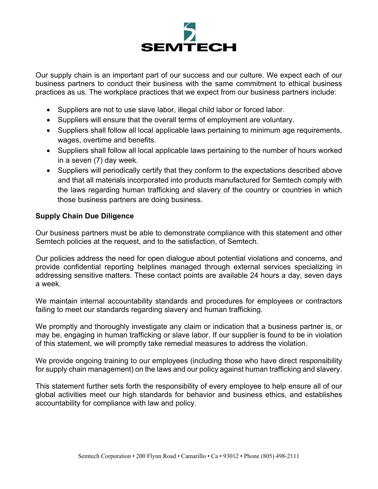

Our supply chain is an important part of our success and our culture. We expect each of our business partners to conduct their business with the same commitment to ethical business practices as us. The workplace practices that we expect from our business partners include:

- Suppliers are not to use slave labor, illegal child labor or forced labor.
- Suppliers will ensure that the overall terms of employment are voluntary.
- Suppliers shall follow all local applicable laws pertaining to minimum age requirements, wages, overtime and benefits.
- Suppliers shall follow all local applicable laws pertaining to the number of hours worked in a seven (7) day week.
- Suppliers will periodically certify that they conform to the expectations described above and that all materials incorporated into products manufactured for Semtech comply with the laws regarding human trafficking and slavery of the country or countries in which those business partners are doing business.

# **Supply Chain Due Diligence**

Our business partners must be able to demonstrate compliance with this statement and other Semtech policies at the request, and to the satisfaction, of Semtech.

Our policies address the need for open dialogue about potential violations and concerns, and provide confidential reporting helplines managed through external services specializing in addressing sensitive matters. These contact points are available 24 hours a day, seven days a week.

We maintain internal accountability standards and procedures for employees or contractors failing to meet our standards regarding slavery and human trafficking.

We promptly and thoroughly investigate any claim or indication that a business partner is, or may be, engaging in human trafficking or slave labor. If our supplier is found to be in violation of this statement, we will promptly take remedial measures to address the violation.

We provide ongoing training to our employees (including those who have direct responsibility for supply chain management) on the laws and our policy against human trafficking and slavery.

This statement further sets forth the responsibility of every employee to help ensure all of our global activities meet our high standards for behavior and business ethics, and establishes accountability for compliance with law and policy.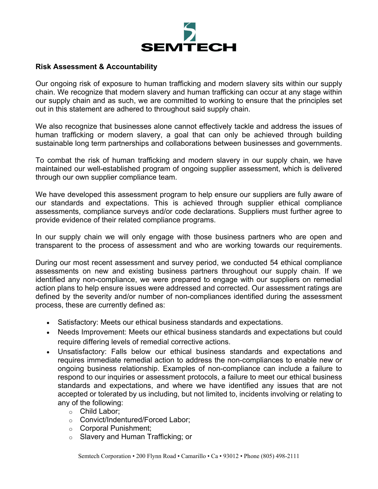

#### **Risk Assessment & Accountability**

Our ongoing risk of exposure to human trafficking and modern slavery sits within our supply chain. We recognize that modern slavery and human trafficking can occur at any stage within our supply chain and as such, we are committed to working to ensure that the principles set out in this statement are adhered to throughout said supply chain.

We also recognize that businesses alone cannot effectively tackle and address the issues of human trafficking or modern slavery, a goal that can only be achieved through building sustainable long term partnerships and collaborations between businesses and governments.

To combat the risk of human trafficking and modern slavery in our supply chain, we have maintained our well-established program of ongoing supplier assessment, which is delivered through our own supplier compliance team.

We have developed this assessment program to help ensure our suppliers are fully aware of our standards and expectations. This is achieved through supplier ethical compliance assessments, compliance surveys and/or code declarations. Suppliers must further agree to provide evidence of their related compliance programs.

In our supply chain we will only engage with those business partners who are open and transparent to the process of assessment and who are working towards our requirements.

During our most recent assessment and survey period, we conducted 54 ethical compliance assessments on new and existing business partners throughout our supply chain. If we identified any non-compliance, we were prepared to engage with our suppliers on remedial action plans to help ensure issues were addressed and corrected. Our assessment ratings are defined by the severity and/or number of non-compliances identified during the assessment process, these are currently defined as:

- Satisfactory: Meets our ethical business standards and expectations.
- Needs Improvement: Meets our ethical business standards and expectations but could require differing levels of remedial corrective actions.
- Unsatisfactory: Falls below our ethical business standards and expectations and requires immediate remedial action to address the non-compliances to enable new or ongoing business relationship. Examples of non-compliance can include a failure to respond to our inquiries or assessment protocols, a failure to meet our ethical business standards and expectations, and where we have identified any issues that are not accepted or tolerated by us including, but not limited to, incidents involving or relating to any of the following:
	- o Child Labor;
	- o Convict/Indentured/Forced Labor;
	- o Corporal Punishment;
	- o Slavery and Human Trafficking; or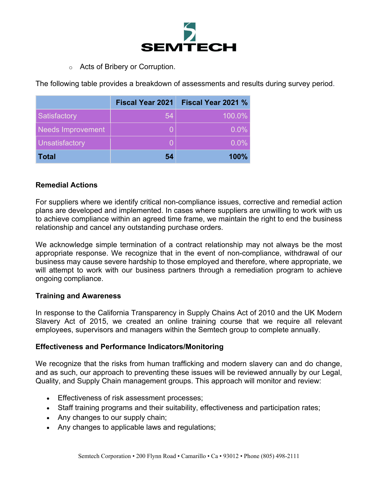

o Acts of Bribery or Corruption.

The following table provides a breakdown of assessments and results during survey period.

|                          | <b>Fiscal Year 2021</b> | Fiscal Year 2021 % |
|--------------------------|-------------------------|--------------------|
| Satisfactory             | 54                      | 100.0%             |
| <b>Needs Improvement</b> |                         | $0.0\%$            |
| <b>Unsatisfactory</b>    |                         | $0.0\%$            |
| <b>Total</b>             | 54                      | 100%               |

## **Remedial Actions**

For suppliers where we identify critical non-compliance issues, corrective and remedial action plans are developed and implemented. In cases where suppliers are unwilling to work with us to achieve compliance within an agreed time frame, we maintain the right to end the business relationship and cancel any outstanding purchase orders.

We acknowledge simple termination of a contract relationship may not always be the most appropriate response. We recognize that in the event of non-compliance, withdrawal of our business may cause severe hardship to those employed and therefore, where appropriate, we will attempt to work with our business partners through a remediation program to achieve ongoing compliance.

## **Training and Awareness**

In response to the California Transparency in Supply Chains Act of 2010 and the UK Modern Slavery Act of 2015, we created an online training course that we require all relevant employees, supervisors and managers within the Semtech group to complete annually.

## **Effectiveness and Performance Indicators/Monitoring**

We recognize that the risks from human trafficking and modern slavery can and do change, and as such, our approach to preventing these issues will be reviewed annually by our Legal, Quality, and Supply Chain management groups. This approach will monitor and review:

- **Effectiveness of risk assessment processes;**
- Staff training programs and their suitability, effectiveness and participation rates;
- Any changes to our supply chain;
- Any changes to applicable laws and regulations;